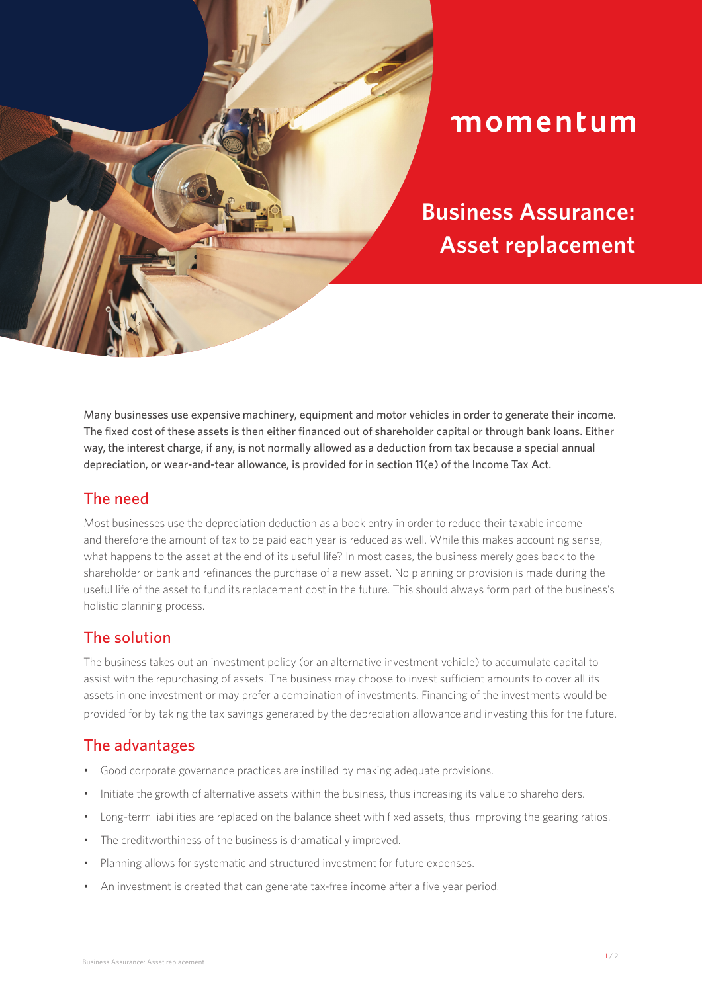

# momentum

**Business Assurance: Asset replacement**

Many businesses use expensive machinery, equipment and motor vehicles in order to generate their income. The fixed cost of these assets is then either financed out of shareholder capital or through bank loans. Either way, the interest charge, if any, is not normally allowed as a deduction from tax because a special annual depreciation, or wear-and-tear allowance, is provided for in section 11(e) of the Income Tax Act.

### The need

Most businesses use the depreciation deduction as a book entry in order to reduce their taxable income and therefore the amount of tax to be paid each year is reduced as well. While this makes accounting sense, what happens to the asset at the end of its useful life? In most cases, the business merely goes back to the shareholder or bank and refinances the purchase of a new asset. No planning or provision is made during the useful life of the asset to fund its replacement cost in the future. This should always form part of the business's holistic planning process.

### The solution

The business takes out an investment policy (or an alternative investment vehicle) to accumulate capital to assist with the repurchasing of assets. The business may choose to invest sufficient amounts to cover all its assets in one investment or may prefer a combination of investments. Financing of the investments would be provided for by taking the tax savings generated by the depreciation allowance and investing this for the future.

### The advantages

- Good corporate governance practices are instilled by making adequate provisions.
- Initiate the growth of alternative assets within the business, thus increasing its value to shareholders.
- Long-term liabilities are replaced on the balance sheet with fixed assets, thus improving the gearing ratios.
- The creditworthiness of the business is dramatically improved.
- Planning allows for systematic and structured investment for future expenses.
- An investment is created that can generate tax-free income after a five year period.